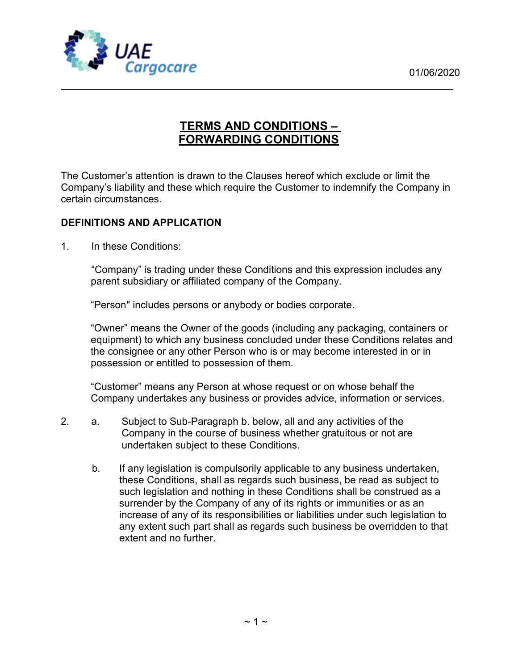

# TERMS AND CONDITIONS – FORWARDING CONDITIONS

The Customer's attention is drawn to the Clauses hereof which exclude or limit the Company's liability and these which require the Customer to indemnify the Company in certain circumstances.

### DEFINITIONS AND APPLICATION

1. In these Conditions:

"Company" is trading under these Conditions and this expression includes any parent subsidiary or affiliated company of the Company.

"Person" includes persons or anybody or bodies corporate.

"Owner" means the Owner of the goods (including any packaging, containers or equipment) to which any business concluded under these Conditions relates and the consignee or any other Person who is or may become interested in or in possession or entitled to possession of them.

"Customer" means any Person at whose request or on whose behalf the Company undertakes any business or provides advice, information or services.

- 2. a. Subject to Sub-Paragraph b. below, all and any activities of the Company in the course of business whether gratuitous or not are undertaken subject to these Conditions.
	- b. If any legislation is compulsorily applicable to any business undertaken, these Conditions, shall as regards such business, be read as subject to such legislation and nothing in these Conditions shall be construed as a surrender by the Company of any of its rights or immunities or as an increase of any of its responsibilities or liabilities under such legislation to any extent such part shall as regards such business be overridden to that extent and no further.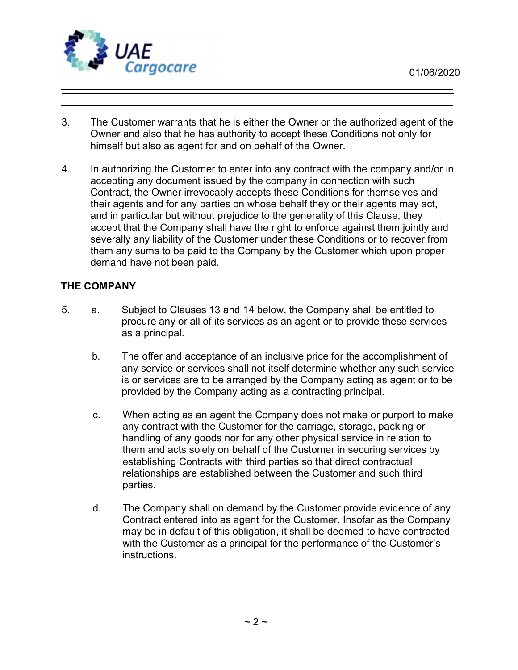

- 3. The Customer warrants that he is either the Owner or the authorized agent of the Owner and also that he has authority to accept these Conditions not only for himself but also as agent for and on behalf of the Owner.
- 4. In authorizing the Customer to enter into any contract with the company and/or in accepting any document issued by the company in connection with such Contract, the Owner irrevocably accepts these Conditions for themselves and their agents and for any parties on whose behalf they or their agents may act, and in particular but without prejudice to the generality of this Clause, they accept that the Company shall have the right to enforce against them jointly and severally any liability of the Customer under these Conditions or to recover from them any sums to be paid to the Company by the Customer which upon proper demand have not been paid.

### THE COMPANY

- 5. a. Subject to Clauses 13 and 14 below, the Company shall be entitled to procure any or all of its services as an agent or to provide these services as a principal.
	- b. The offer and acceptance of an inclusive price for the accomplishment of any service or services shall not itself determine whether any such service is or services are to be arranged by the Company acting as agent or to be provided by the Company acting as a contracting principal.
	- c. When acting as an agent the Company does not make or purport to make any contract with the Customer for the carriage, storage, packing or handling of any goods nor for any other physical service in relation to them and acts solely on behalf of the Customer in securing services by establishing Contracts with third parties so that direct contractual relationships are established between the Customer and such third parties.
	- d. The Company shall on demand by the Customer provide evidence of any Contract entered into as agent for the Customer. Insofar as the Company may be in default of this obligation, it shall be deemed to have contracted with the Customer as a principal for the performance of the Customer's instructions.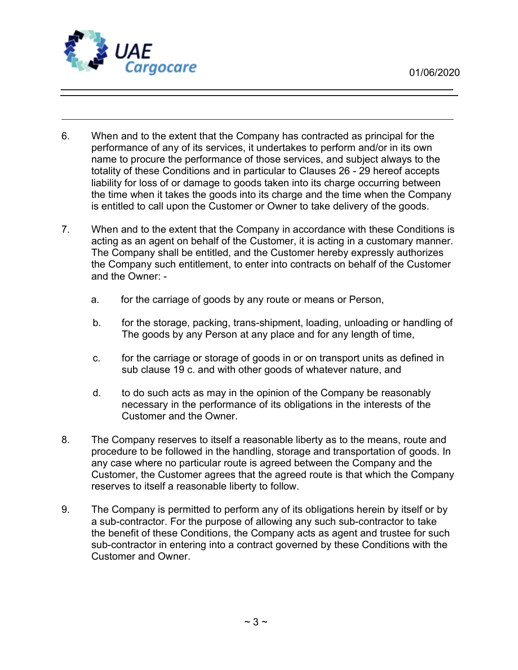

- 6. When and to the extent that the Company has contracted as principal for the performance of any of its services, it undertakes to perform and/or in its own name to procure the performance of those services, and subject always to the totality of these Conditions and in particular to Clauses 26 - 29 hereof accepts liability for loss of or damage to goods taken into its charge occurring between the time when it takes the goods into its charge and the time when the Company is entitled to call upon the Customer or Owner to take delivery of the goods.
- 7. When and to the extent that the Company in accordance with these Conditions is acting as an agent on behalf of the Customer, it is acting in a customary manner. The Company shall be entitled, and the Customer hereby expressly authorizes the Company such entitlement, to enter into contracts on behalf of the Customer and the Owner:
	- a. for the carriage of goods by any route or means or Person,
	- b. for the storage, packing, trans-shipment, loading, unloading or handling of The goods by any Person at any place and for any length of time,
	- c. for the carriage or storage of goods in or on transport units as defined in sub clause 19 c. and with other goods of whatever nature, and
	- d. to do such acts as may in the opinion of the Company be reasonably necessary in the performance of its obligations in the interests of the Customer and the Owner.
- 8. The Company reserves to itself a reasonable liberty as to the means, route and procedure to be followed in the handling, storage and transportation of goods. In any case where no particular route is agreed between the Company and the Customer, the Customer agrees that the agreed route is that which the Company reserves to itself a reasonable liberty to follow.
- 9. The Company is permitted to perform any of its obligations herein by itself or by a sub-contractor. For the purpose of allowing any such sub-contractor to take the benefit of these Conditions, the Company acts as agent and trustee for such sub-contractor in entering into a contract governed by these Conditions with the Customer and Owner.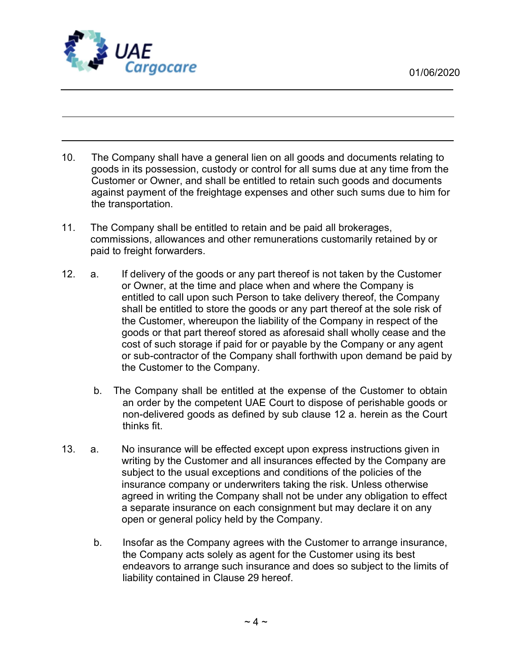

- 10. The Company shall have a general lien on all goods and documents relating to goods in its possession, custody or control for all sums due at any time from the Customer or Owner, and shall be entitled to retain such goods and documents against payment of the freightage expenses and other such sums due to him for the transportation.
- 11. The Company shall be entitled to retain and be paid all brokerages, commissions, allowances and other remunerations customarily retained by or paid to freight forwarders.
- 12. a. If delivery of the goods or any part thereof is not taken by the Customer or Owner, at the time and place when and where the Company is entitled to call upon such Person to take delivery thereof, the Company shall be entitled to store the goods or any part thereof at the sole risk of the Customer, whereupon the liability of the Company in respect of the goods or that part thereof stored as aforesaid shall wholly cease and the cost of such storage if paid for or payable by the Company or any agent or sub-contractor of the Company shall forthwith upon demand be paid by the Customer to the Company.
	- b. The Company shall be entitled at the expense of the Customer to obtain an order by the competent UAE Court to dispose of perishable goods or non-delivered goods as defined by sub clause 12 a. herein as the Court thinks fit.
- 13. a. No insurance will be effected except upon express instructions given in writing by the Customer and all insurances effected by the Company are subject to the usual exceptions and conditions of the policies of the insurance company or underwriters taking the risk. Unless otherwise agreed in writing the Company shall not be under any obligation to effect a separate insurance on each consignment but may declare it on any open or general policy held by the Company.
	- b. Insofar as the Company agrees with the Customer to arrange insurance, the Company acts solely as agent for the Customer using its best endeavors to arrange such insurance and does so subject to the limits of liability contained in Clause 29 hereof.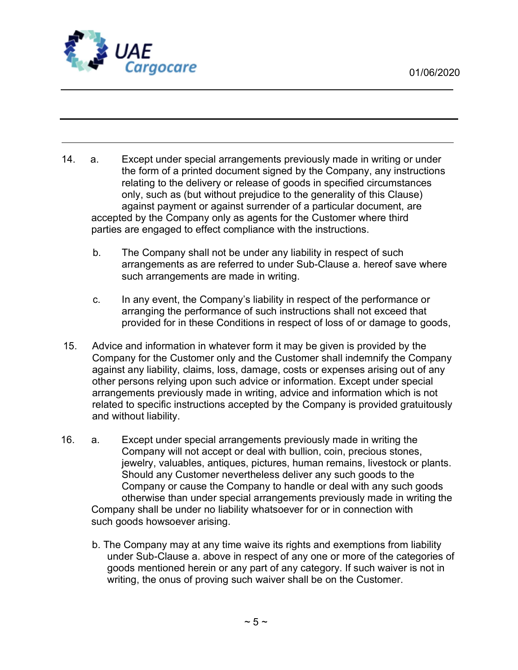

- 14. a. Except under special arrangements previously made in writing or under the form of a printed document signed by the Company, any instructions relating to the delivery or release of goods in specified circumstances only, such as (but without prejudice to the generality of this Clause) against payment or against surrender of a particular document, are accepted by the Company only as agents for the Customer where third parties are engaged to effect compliance with the instructions.
	- b. The Company shall not be under any liability in respect of such arrangements as are referred to under Sub-Clause a. hereof save where such arrangements are made in writing.
	- c. In any event, the Company's liability in respect of the performance or arranging the performance of such instructions shall not exceed that provided for in these Conditions in respect of loss of or damage to goods,
- 15. Advice and information in whatever form it may be given is provided by the Company for the Customer only and the Customer shall indemnify the Company against any liability, claims, loss, damage, costs or expenses arising out of any other persons relying upon such advice or information. Except under special arrangements previously made in writing, advice and information which is not related to specific instructions accepted by the Company is provided gratuitously and without liability.
- 16. a. Except under special arrangements previously made in writing the Company will not accept or deal with bullion, coin, precious stones, jewelry, valuables, antiques, pictures, human remains, livestock or plants. Should any Customer nevertheless deliver any such goods to the Company or cause the Company to handle or deal with any such goods otherwise than under special arrangements previously made in writing the Company shall be under no liability whatsoever for or in connection with such goods howsoever arising.
	- b. The Company may at any time waive its rights and exemptions from liability under Sub-Clause a. above in respect of any one or more of the categories of goods mentioned herein or any part of any category. If such waiver is not in writing, the onus of proving such waiver shall be on the Customer.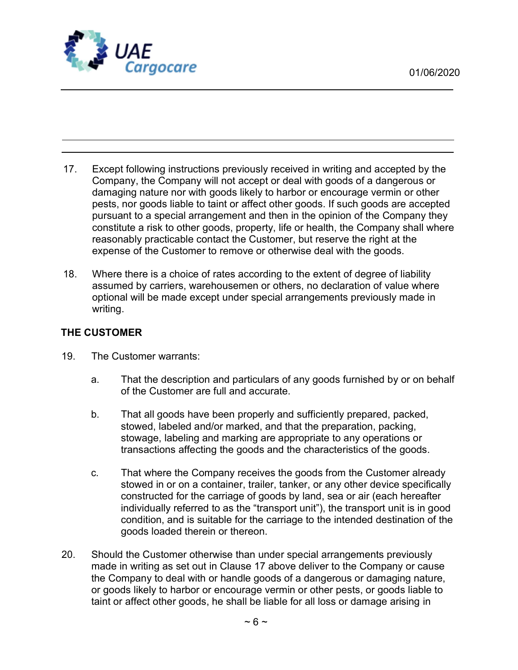

- 17. Except following instructions previously received in writing and accepted by the Company, the Company will not accept or deal with goods of a dangerous or damaging nature nor with goods likely to harbor or encourage vermin or other pests, nor goods liable to taint or affect other goods. If such goods are accepted pursuant to a special arrangement and then in the opinion of the Company they constitute a risk to other goods, property, life or health, the Company shall where reasonably practicable contact the Customer, but reserve the right at the expense of the Customer to remove or otherwise deal with the goods.
- 18. Where there is a choice of rates according to the extent of degree of liability assumed by carriers, warehousemen or others, no declaration of value where optional will be made except under special arrangements previously made in writing.

### THE CUSTOMER

- 19. The Customer warrants:
	- a. That the description and particulars of any goods furnished by or on behalf of the Customer are full and accurate.
	- b. That all goods have been properly and sufficiently prepared, packed, stowed, labeled and/or marked, and that the preparation, packing, stowage, labeling and marking are appropriate to any operations or transactions affecting the goods and the characteristics of the goods.
	- c. That where the Company receives the goods from the Customer already stowed in or on a container, trailer, tanker, or any other device specifically constructed for the carriage of goods by land, sea or air (each hereafter individually referred to as the "transport unit"), the transport unit is in good condition, and is suitable for the carriage to the intended destination of the goods loaded therein or thereon.
- 20. Should the Customer otherwise than under special arrangements previously made in writing as set out in Clause 17 above deliver to the Company or cause the Company to deal with or handle goods of a dangerous or damaging nature, or goods likely to harbor or encourage vermin or other pests, or goods liable to taint or affect other goods, he shall be liable for all loss or damage arising in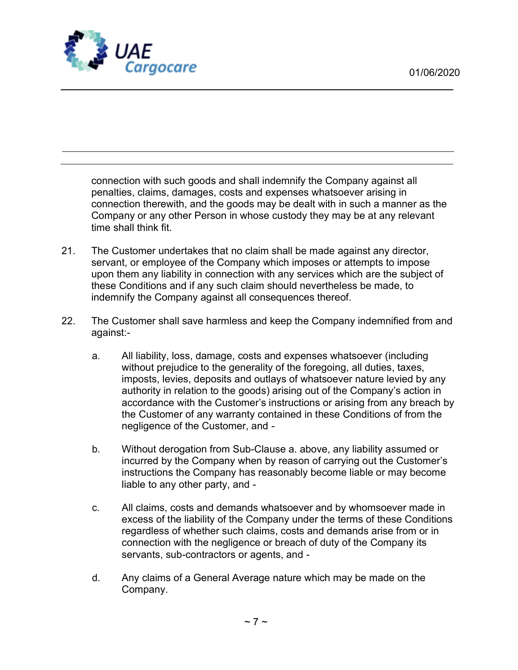

connection with such goods and shall indemnify the Company against all penalties, claims, damages, costs and expenses whatsoever arising in connection therewith, and the goods may be dealt with in such a manner as the Company or any other Person in whose custody they may be at any relevant time shall think fit.

- 21. The Customer undertakes that no claim shall be made against any director, servant, or employee of the Company which imposes or attempts to impose upon them any liability in connection with any services which are the subject of these Conditions and if any such claim should nevertheless be made, to indemnify the Company against all consequences thereof.
- 22. The Customer shall save harmless and keep the Company indemnified from and against:
	- a. All liability, loss, damage, costs and expenses whatsoever (including without prejudice to the generality of the foregoing, all duties, taxes, imposts, levies, deposits and outlays of whatsoever nature levied by any authority in relation to the goods) arising out of the Company's action in accordance with the Customer's instructions or arising from any breach by the Customer of any warranty contained in these Conditions of from the negligence of the Customer, and -
	- b. Without derogation from Sub-Clause a. above, any liability assumed or incurred by the Company when by reason of carrying out the Customer's instructions the Company has reasonably become liable or may become liable to any other party, and -
	- c. All claims, costs and demands whatsoever and by whomsoever made in excess of the liability of the Company under the terms of these Conditions regardless of whether such claims, costs and demands arise from or in connection with the negligence or breach of duty of the Company its servants, sub-contractors or agents, and -
	- d. Any claims of a General Average nature which may be made on the Company.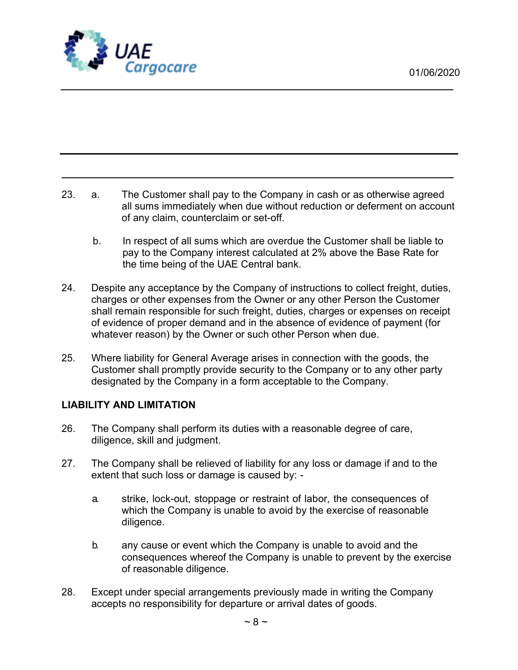

23. a. The Customer shall pay to the Company in cash or as otherwise agreed all sums immediately when due without reduction or deferment on account of any claim, counterclaim or set-off.

- b. In respect of all sums which are overdue the Customer shall be liable to pay to the Company interest calculated at 2% above the Base Rate for the time being of the UAE Central bank.
- 24. Despite any acceptance by the Company of instructions to collect freight, duties, charges or other expenses from the Owner or any other Person the Customer shall remain responsible for such freight, duties, charges or expenses on receipt of evidence of proper demand and in the absence of evidence of payment (for whatever reason) by the Owner or such other Person when due.
- 25. Where liability for General Average arises in connection with the goods, the Customer shall promptly provide security to the Company or to any other party designated by the Company in a form acceptable to the Company.

### LIABILITY AND LIMITATION

- 26. The Company shall perform its duties with a reasonable degree of care, diligence, skill and judgment.
- 27. The Company shall be relieved of liability for any loss or damage if and to the extent that such loss or damage is caused by:
	- a. strike, lock-out, stoppage or restraint of labor, the consequences of which the Company is unable to avoid by the exercise of reasonable diligence.
	- b. any cause or event which the Company is unable to avoid and the consequences whereof the Company is unable to prevent by the exercise of reasonable diligence.
- 28. Except under special arrangements previously made in writing the Company accepts no responsibility for departure or arrival dates of goods.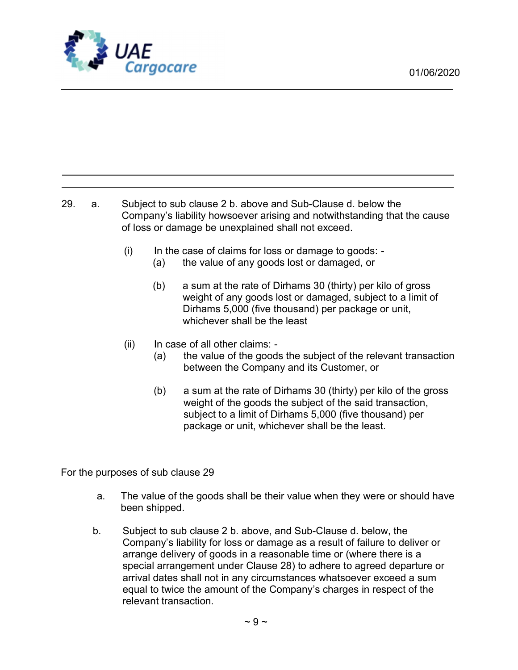

29. a. Subject to sub clause 2 b. above and Sub-Clause d. below the Company's liability howsoever arising and notwithstanding that the cause of loss or damage be unexplained shall not exceed.

- (i) In the case of claims for loss or damage to goods:
	- (a) the value of any goods lost or damaged, or
	- (b) a sum at the rate of Dirhams 30 (thirty) per kilo of gross weight of any goods lost or damaged, subject to a limit of Dirhams 5,000 (five thousand) per package or unit, whichever shall be the least
- (ii) In case of all other claims:
	- (a) the value of the goods the subject of the relevant transaction between the Company and its Customer, or
	- (b) a sum at the rate of Dirhams 30 (thirty) per kilo of the gross weight of the goods the subject of the said transaction, subject to a limit of Dirhams 5,000 (five thousand) per package or unit, whichever shall be the least.

For the purposes of sub clause 29

- a. The value of the goods shall be their value when they were or should have been shipped.
- b. Subject to sub clause 2 b. above, and Sub-Clause d. below, the Company's liability for loss or damage as a result of failure to deliver or arrange delivery of goods in a reasonable time or (where there is a special arrangement under Clause 28) to adhere to agreed departure or arrival dates shall not in any circumstances whatsoever exceed a sum equal to twice the amount of the Company's charges in respect of the relevant transaction.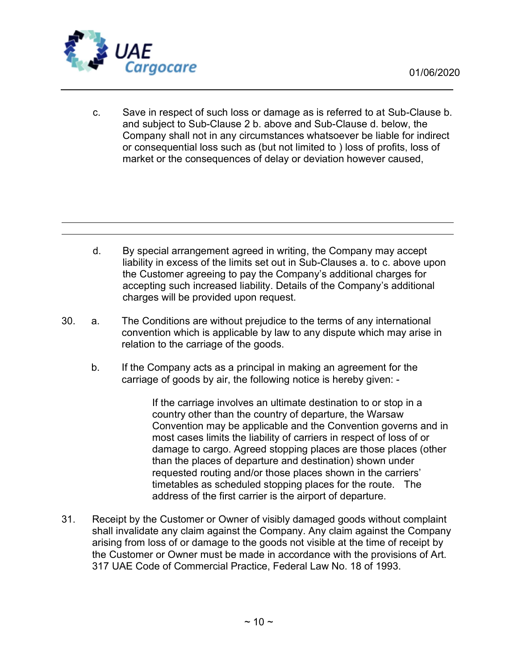

c. Save in respect of such loss or damage as is referred to at Sub-Clause b. and subject to Sub-Clause 2 b. above and Sub-Clause d. below, the Company shall not in any circumstances whatsoever be liable for indirect or consequential loss such as (but not limited to ) loss of profits, loss of market or the consequences of delay or deviation however caused,

- d. By special arrangement agreed in writing, the Company may accept liability in excess of the limits set out in Sub-Clauses a. to c. above upon the Customer agreeing to pay the Company's additional charges for accepting such increased liability. Details of the Company's additional charges will be provided upon request.
- 30. a. The Conditions are without prejudice to the terms of any international convention which is applicable by law to any dispute which may arise in relation to the carriage of the goods.
	- b. If the Company acts as a principal in making an agreement for the carriage of goods by air, the following notice is hereby given: -

If the carriage involves an ultimate destination to or stop in a country other than the country of departure, the Warsaw Convention may be applicable and the Convention governs and in most cases limits the liability of carriers in respect of loss of or damage to cargo. Agreed stopping places are those places (other than the places of departure and destination) shown under requested routing and/or those places shown in the carriers' timetables as scheduled stopping places for the route. The address of the first carrier is the airport of departure.

31. Receipt by the Customer or Owner of visibly damaged goods without complaint shall invalidate any claim against the Company. Any claim against the Company arising from loss of or damage to the goods not visible at the time of receipt by the Customer or Owner must be made in accordance with the provisions of Art. 317 UAE Code of Commercial Practice, Federal Law No. 18 of 1993.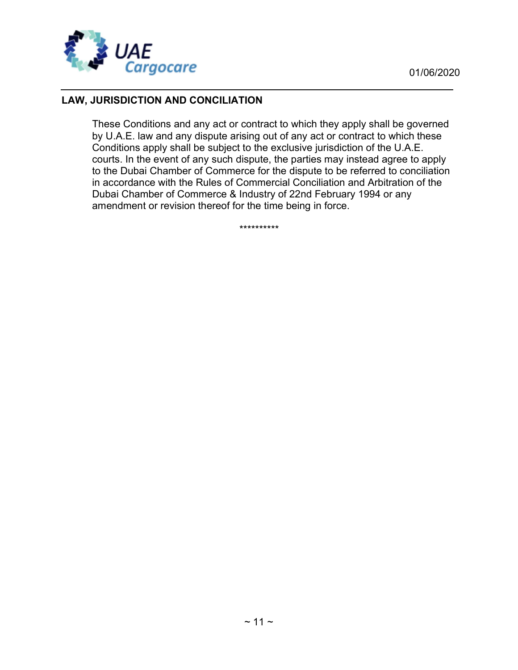

## LAW, JURISDICTION AND CONCILIATION

These Conditions and any act or contract to which they apply shall be governed by U.A.E. law and any dispute arising out of any act or contract to which these Conditions apply shall be subject to the exclusive jurisdiction of the U.A.E. courts. In the event of any such dispute, the parties may instead agree to apply to the Dubai Chamber of Commerce for the dispute to be referred to conciliation in accordance with the Rules of Commercial Conciliation and Arbitration of the Dubai Chamber of Commerce & Industry of 22nd February 1994 or any amendment or revision thereof for the time being in force.

\*\*\*\*\*\*\*\*\*\*